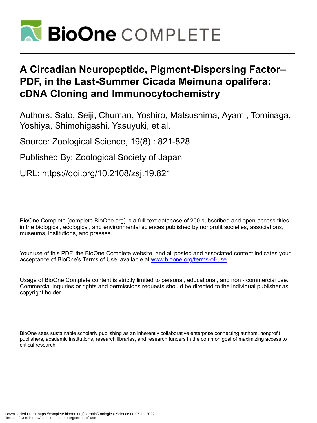

# **A Circadian Neuropeptide, Pigment-Dispersing Factor– PDF, in the Last-Summer Cicada Meimuna opalifera: cDNA Cloning and Immunocytochemistry**

Authors: Sato, Seiji, Chuman, Yoshiro, Matsushima, Ayami, Tominaga, Yoshiya, Shimohigashi, Yasuyuki, et al.

Source: Zoological Science, 19(8) : 821-828

Published By: Zoological Society of Japan

URL: https://doi.org/10.2108/zsj.19.821

BioOne Complete (complete.BioOne.org) is a full-text database of 200 subscribed and open-access titles in the biological, ecological, and environmental sciences published by nonprofit societies, associations, museums, institutions, and presses.

Your use of this PDF, the BioOne Complete website, and all posted and associated content indicates your acceptance of BioOne's Terms of Use, available at www.bioone.org/terms-of-use.

Usage of BioOne Complete content is strictly limited to personal, educational, and non - commercial use. Commercial inquiries or rights and permissions requests should be directed to the individual publisher as copyright holder.

BioOne sees sustainable scholarly publishing as an inherently collaborative enterprise connecting authors, nonprofit publishers, academic institutions, research libraries, and research funders in the common goal of maximizing access to critical research.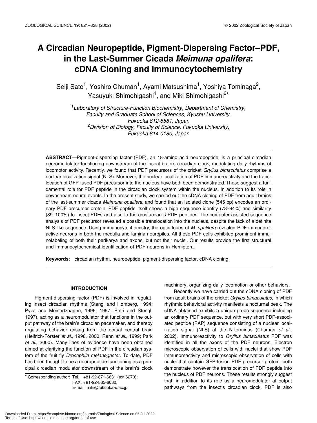# **A Circadian Neuropeptide, Pigment-Dispersing Factor–PDF, in the Last-Summer Cicada** *Meimuna opalifera***: cDNA Cloning and Immunocytochemistry**

Seiji Sato<sup>1</sup>, Yoshiro Chuman<sup>1</sup>, Ayami Matsushima<sup>1</sup>, Yoshiya Tominaga<sup>2</sup>, Yasuyuki Shimohigashi<sup>1</sup>, and Miki Shimohigashi<sup>2\*</sup>

1 *Laboratory of Structure-Function Biochemistry, Department of Chemistry, Faculty and Graduate School of Sciences, Kyushu University, Fukuoka 812-8581, Japan* 2 *Division of Biology, Faculty of Science, Fukuoka University, Fukuoka 814-0180, Japan*

**ABSTRACT**—Pigment-dispersing factor (PDF), an 18-amino acid neuropeptide, is a principal circadian neuromodulator functioning downstream of the insect brain's circadian clock, modulating daily rhythms of locomotor activity. Recently, we found that PDF precursors of the cricket *Gryllus bimaculatus* comprise a nuclear localization signal (NLS). Moreover, the nuclear localization of PDF immunoreactivity and the translocation of GFP-fused PDF precursor into the nucleus have both been demonstrated. These suggest a fundamental role for PDF peptide in the circadian clock system within the nucleus, in addition to its role in downstream neural events. In the present study, we carried out the cDNA cloning of PDF from adult brains of the last-summer cicada *Meimuna opalifera*, and found that an isolated clone (545 bp) encodes an ordinary PDF precursor protein. PDF peptide itself shows a high sequence identity (78–94%) and similarity (89–100%) to insect PDFs and also to the crustacean β-PDH peptides. The computer-assisted sequence analysis of PDF precursor revealed a possible translocation into the nucleus, despite the lack of a definite NLS-like sequence. Using immunocytochemistry, the optic lobes of *M. opalifera* revealed PDF-immunoreactive neurons in both the medulla and lamina neuropiles. All these PDF cells exhibited prominent immunolabeling of both their perikarya and axons, but not their nuclei. Our results provide the first structural and immunocytochemical identification of PDF neurons in Hemiptera.

**Keywords**: circadian rhythm, neuropeptide, pigment-dispersing factor, cDNA cloning

# **INTRODUCTION**

Pigment-dispersing factor (PDF) is involved in regulating insect circadian rhythms (Stengl and Homberg, 1994; Pyza and Meinertzhagen, 1996, 1997; Petri and Stengl, 1997), acting as a neuromodulator that functions in the output pathway of the brain's circadian pacemaker, and thereby regulating behavior arising from the dorsal central brain (Helfrich-Förster *et al.*, 1998, 2000; Renn *et al*., 1999; Park *et al*., 2000). Many lines of evidence have been obtained aimed at clarifying the function of PDF in the circadian system of the fruit fly *Drosophila melanogaster*. To date, PDF has been thought to be a neuropeptide functioning as a principal circadian modulator downstream of the brain's clock

\* Corresponding author: Tel. +81-92-871-6631 (ext 6270); FAX. +81-92-865-6030. E-mail: miki@fukuoka-u.ac.jp

machinery, organizing daily locomotion or other behaviors.

Recently we have carried out the cDNA cloning of PDF from adult brains of the cricket *Gryllus bimaculatus*, in which rhythmic behavioral activity manifests a nocturnal peak. The cDNA obtained exhibits a unique preprosequence including an ordinary PDF sequence, but with very short PDF-associated peptide (PAP) sequence consisting of a nuclear localization signal (NLS) at the N-terminus (Chuman *et al*., 2002). Immunoreactivity to *Gryllus bimaculatus* PDF was identified in all the axons of the PDF neurons. Electron microscopic observation of cells with nuclei that show PDF immunoreactivity and microscopic observation of cells with nuclei that contain GFP-fusion PDF precursor protein, both demonstrate however the translocation of PDF peptide into the nucleus of PDF neurons. These results strongly suggest that, in addition to its role as a neuromodulator at output pathways from the insect's circadian clock, PDF is also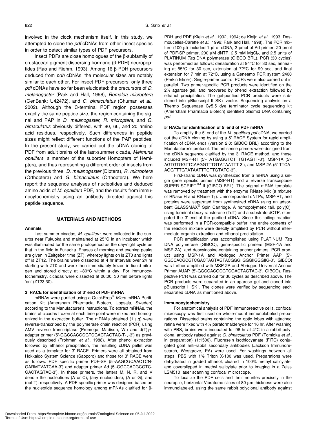involved in the clock mechanism itself. In this study, we attempted to clone the *pdf* cDNAs from other insect species in order to detect similar types of PDF precursors.

Insect PDFs are close homologues of the β-subfamily of crustacean pigment-dispersing hormone (β-PDH) neuropeptides (Rao and Riehm, 1993). Among 16 β-PDH precursors deduced from *pdh* cDNAs, the molecular sizes are notably similar to each other. For insect PDF precursors, only three *pdf* cDNAs have so far been elucidated: the precursors of *D. melanogaster* (Park and Hall, 1998), *Romalea microptera* (GenBank: U42472), and *G. bimaculatus* (Chuman *et al*., 2002). Although the C-terminal PDF region possesses exactly the same peptide size, the region containing the signal and PAP in *D. melanogaster*, *R. microptera*, and *G. bimaculatus* obviously differed, with 80, 66, and 20 amino acid residues, respectively. Such differences in peptide sizes might reflect different functions of the PAP peptides. In the present study, we carried out the cDNA cloning of PDF from adult brains of the last-summer cicada, *Meimuna opalifera*, a member of the suborder Homoptera of Hemiptera, and thus representing a different order of insects from the previous three, *D. melanogaster* (Diptera), *R. microptera* (Orthoptera) and *G. bimaculatus* (Orthoptera). We here report the sequence analyses of nucleotides and deduced amino acids of *M. opalifera* PDF, and the results from immunocytochemistry using an antibody directed against this peptide sequence.

# **MATERIALS AND METHODS**

#### **Animals**

Last-summer cicadas, *M. opalifera*, were collected in the suburbs near Fukuoka and maintained at 25°C in an incubator which was illuminated for the same photoperiod as the day/night cycle as that in the field in Fukuoka. Phases of morning and evening peaks are given in Zeitgeber time (ZT), whereby lights on is ZT0 and lights off is ZT12. The brains were dissected at 4 hr intervals over 24 hr starting with ZT0 and were then immediately frozen in liquid nitrogen and stored directly at –80°C within a day. For immunocytochemistry, cicadas were dissected at 06:00, 30 min before lights 'on' (ZT23:30).

# **3' RACE for identification of 3' end of PDF mRNA**

mRNAs were purified using a QuickPrep® *Micro* mRNA Purification Kit (Amersham Pharmacia Biotech, Uppsala, Sweden) according to the Manufacturer's instructions. To extract mRNAs, the brains of cicadas frozen at each time point were mixed and homogenized in the extraction buffer. The mRNAs obtained  $(1 \mu g)$  were reverse-transcribed by the polymerase chain reaction (PCR) using AMV reverse transcriptase (Promega, Madison, WI) and  $d(T)_{17}$ adapter primer (5'-GGCCACGCGTCGACTAGTAC-T<sub>17</sub>-3') as previously described (Frohman *et al*., 1988). After phenol extraction followed by ethanol precipitation, the resulting cDNA pellet was used as a template for 3' RACE. Primers were all obtained from Hokkaido System Science (Sapporo) and those for 3' RACE were as follows: PDF specific primer PDF-SP (5'-AAGCGCAACTCN-GARMTVATCAA-3') and adapter primer Ad (5'-GGCCACGCGTC-GACTAGTAC-3'). In these primers, the letters M, N, R, and V denote the nucleotides (A or C), (any nucleotides), (A or G), and (not T), respectively. A PDF-specific primer was designed based on the nucleotide sequence homology among mRNAs clarified for βPDH and PDF (Klein *et al*., 1992, 1994; de Kleijn *et al*., 1993; Desmoucelles-Carette *et al*., 1996; Park and Hall, 1998). The PCR mixture (100 µl) included 1 µl of cDNA, 2 pmol of Ad primer, 20 pmol of PDF-SP primer, 200  $\mu$ M dNTP, 2.5 mM MgCl<sub>2</sub>, and 2.5 units of PLATINUM *Taq* DNA polymerase (GIBCO BRL). PCR (30 cycles) was performed as follows: denaturation at 94°C for 30 sec, annealing at 55°C for 30 sec, extension at 72°C for 90 sec, and final extension for 7 min at 72°C, using a Geneamp PCR system 2400 (Perkin Elmer). Single-primer control PCRs were also carried out in parallel. Two primer-specific PCR products were identified on the 2% agarose gel, and recovered by phenol extraction followed by ethanol precipitation. The gel-purified PCR products were subcloned into pBluescript II SK+ vector. Sequencing analysis on a Thermo Sequenase Cy5.5 dye terminator cycle sequencing kit (Amersham Pharmacia Biotech) identified plasmid DNA containing *pdf*.

#### **5' RACE for identification of 5' end of PDF mRNA**

To amplify the 5' end of the *M. opalifera pdf* cDNA, we carried out the cDNA cloning by using a 5' RACE System for rapid amplification of cDNA ends (version 2.0: GIBCO BRL) according to the Manufacturer's protocol. The antisense primers were designed from the cDNA sequence clarified by the 3' RACE method, and these included MSP-RT (5'-TATGAGGTCTTTGTAGTT-3'), MSP-1A (5'- AGTGTGGTTCAAGGTTTGTATAATTT-3'), and MSP-2A (5'-TTCA-AGGTTTGTATAATTTGTTGTATG-3').

First-strand cDNA was synthesized from a mRNA using a single gene specific primer (MSP-RT) and a reverse transcriptase  $S$ UPER SCRIPT<sup>TM</sup> II (GIBCO BRL). The original mRNA template was removed by treatment with the enzyme RNase Mix (a mixture of RNase H and RNase  $T_1$ ). Unincorporated dNTPs, MSP-RT, and proteins were separated from synthesized cDNA using an adsorbent GLASSMAX<sup>®</sup> Spin Cartridge. A homopolymeric tail, poly(C), using terminal deoxytransferase (TdT) and a substrate dCTP, elongated the 3'-end of the purified cDNA. Since this tailing reaction was performed in a PCR-compatible buffer, the entire contents of the reaction mixture were directly amplified by PCR without intermediate organic extraction and ethanol precipitation.

PCR amplification was accomplished using PLATINUM *Taq* DNA polymerase (GIBCO), gene-specific primers (MSP-1A and MSP-2A), and deoxyinosine-containing anchor primers. PCR product using MSP-1A and Abridged Anchor Primer AAP (5'- GGCCACGCGTCGACTAGTAGTACGGGIIGGGIIGGGIIG-3', GIBCO) was further amplified with MSP-2A and Abridged Universal Anchor Primer AUAP (5'-GGCCACGCGTCGACTAGTAC-3', GIBCO). Respective PCR was carried out for 30 cycles as described above. The PCR products were separated in an agarose gel and cloned into pBluescript II SK<sup>+</sup>. The clones were verified by sequencing each separated cDNA as mentioned above.

### **Immunocytochemistry**

For anatomical analysis of PDF immunoreactive cells, confocal microscopy was first used on whole-mount immunolabeled preparations. Dissected brains containing the optic lobes with attached retina were fixed with 4% paraformaldehyde for 16 hr. After washing with PBS, brains were incubated for 96 hr at 4°C in a rabbit polyclonal antibody raised against *G. bimaculatus* PDF (Tomioka *et al*., in preparation) (1:1500). Fluoresein isothiocyanate (FITC) conjugated goat anti-rabbit secondary antibodies (Jackson Immunoresearch, Westgrove, PA) were used. For washings between all steps, PBS with 1% Triton X-100 was used. Preparations were dehydrated in graded ethanol, cleared in 100% methyl salicylate, and coverslipped in methyl salicylate prior to imaging in a Zeiss LSM510 laser scanning confocal microscope.

To localize the PDF cells and their neurites precisely in the neuropile, horizontal Vibratome slices of 80 µm thickness were also immunolabeled, using the same rabbit polyclonal antibody against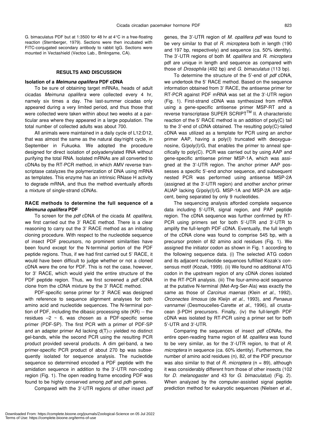G. bimaculatus PDF but at 1:3500 for 48 hr at 4°C in a free-floating reaction (Sternberger, 1979). Sections were then incubated with FITC-conjugated secondary antibody to rabbit IgG. Sections were mounted in Vectashield (Vectoo Lab., Bmlingame, CA).

# **RESULTS AND DISCUSSION**

### **Isolation of a** *Meimuna opalifera* **PDF cDNA**

To be sure of obtaining target mRNAs, heads of adult cicadas *Meimuna opalifera* were collected every 4 hr, namely six times a day. The last-summer cicadas only appeared during a very limited period, and thus those that were collected were taken within about two weeks at a particular area where they appeared in a large population. The total number of collected adults was about 700.

All animals were maintained in a daily cycle of L12:D12, that was almost the same as the natural day/night cycle, in September in Fukuoka. We adopted the procedure designed for direct isolation of polyadenylated RNA without purifying the total RNA. Isolated mRNAs are all converted to cDNAs by the RT-PCR method, in which AMV reverse transcriptase catalyzes the polymerization of DNA using mRNA as templates. This enzyme has an intrinsic RNase H activity to degrade mRNA, and thus the method eventually affords a mixture of single-strand cDNAs.

# **RACE methods to determine the full sequence of a** *Meimuna opalifera* **PDF**

To screen for the *pdf* cDNA of the cicada *M. opalifera*, we first carried out the 3' RACE method. There is a clear reasoning to carry out the 3' RACE method as an initiating cloning procedure. With respect to the nucleotide sequence of insect PDF precursors, no prominent similarities have been found except for the N-terminal portion of the PDF peptide regions. Thus, if we had first carried out 5' RACE, it would have been difficult to judge whether or not a cloned cDNA were the one for PDF. This is not the case, however, for 3' RACE, which would yield the entire structure of the PDF peptide region. Thus, we first screened a *pdf* cDNA clone from the cDNA mixture by the 3' RACE method.

PDF-specific sense primer for 3' RACE was designed with reference to sequence alignment analyses for both amino acid and nucleotide sequences. The N-terminal portion of PDF, including the dibasic processing site (KR) -- the residues  $-2 \sim 6$ , was chosen as a PDF-specific sense primer (PDF-SP). The first PCR with a primer of PDF-SP and an adapter primer Ad lacking  $d(T)_{17}$  yielded no distinct gel-bands, while the second PCR using the resulting PCR product provided several products. A dim gel-band, a two primer-specific PCR product of about 270 bp was subsequently isolated for sequence analysis. The nucleotide sequence so determined encoded a PDF peptide with the amidation sequence in addition to the 3'-UTR non-coding region (Fig. 1). The open reading frame encoding PDF was found to be highly conserved among *pdf* and *pdh* genes.

Compared with the 3'-UTR regions of other insect *pdf*

genes, the 3'-UTR region of *M. opalifera pdf* was found to be very similar to that of *R. microptera* both in length (190 and 197 bp, respectively) and sequence (ca. 50% identity). The 3'-UTR regions of both *M. opalifera* and *R. microptera* pdf are unique in length and sequence as compared with those of *Drosophila* (492 bp) and *G. bimaculatus* (113 bp).

To determine the structure of the 5'-end of *pdf* cDNA, we undertook the 5' RACE method. Based on the sequence information obtained from 3' RACE, the antisense primer for RT-PCR against PDF mRNA was set at the 3'-UTR region (Fig. 1). First-strand cDNA was synthesized from mRNA using a gene-specific antisense primer MSP-RT and a reverse transcriptase SUPER SCRIPT™ II. A characteristic reaction of the 5' RACE method is an addition of poly(C) tail to the 3'-end of cDNA obtained. The resulting poly(C)-tailed cDNA was utilized as a template for PCR using an anchor primer AAP, having a poly(I) truncated with deoxyguanosine, G/poly(I)/G, that enables the primer to anneal specifically to poly(C). PCR was carried out by using AAP and gene-specific antisense primer MSP-1A, which was assigned at the 3'-UTR region. The anchor primer AAP possesses a specific 5'-end anchor sequence, and subsequent nested PCR was performed using antisense MSP-2A (assigned at the 3'-UTR region) and another anchor primer AUAP lacking G/poly(I)/G. MSP-1A and MSP-2A are adjacent, being separated by only 9 nucleotides.

The sequencing analysis afforded complete sequence data including 5'-UTR, signal region, and PAP peptide region. The cDNA sequence was further confirmed by RT-PCR using primers set for both 5'-UTR and 3'-UTR to amplify the full-length PDF cDNA. Eventually, the full length of the cDNA clone was found to comprise 545 bp, with a precursor protein of 82 amino acid residues (Fig. 1). We assigned the initiator codon as shown in Fig. 1 according to the following sequence data. (i) The selected ATG codon and its adjacent nucleotide sequences fulfilled Kozak's consensus motif (Kozak, 1999). (ii) We found no additional ATG codon in the upstream region of any cDNA clones isolated in the RT-PCR analysis. (iii) The four-amino-acid sequence at the putative N-terminal (Met-Arg-Ser-Ala) was exactly the same as those of *Carcinus maenas* (Klein *et al*., 1992), *Orconectes limosus* (de Kleijn *et al*., 1993), and *Penaeus vannamei* (Desmoucelles-Carette *et al*., 1996), all crustacean β-PDH precursors. Finally, (iv) the full-length PDF cDNA was isolated by RT-PCR using a primer set for both 5'-UTR and 3'-UTR.

Comparing the sequences of insect *pdf* cDNAs, the entire open-reading frame region of *M. opalifera* was found to be very similar, as for the 3'-UTR region, to that of *R. microptera* in sequence (ca. 60% identity). Furthermore, the number of amino acid residues (n), 82, of the PDF precursor was also similar to that of *R. microptera* (n = 89), although it was considerably different from those of other insects (102 for *D. melanogaster* and 43 for *G. bimaculatus*) (Fig. 2). When analyzed by the computer-assisted signal peptide prediction method for eukaryotic sequences (Nielsen *et al*.,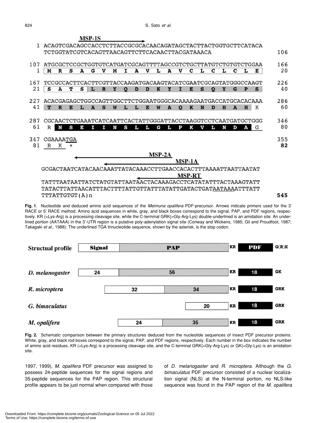

**Fig. 1**. Nucleotide and deduced amino acid sequences of the *Meimuna opalifera* PDF-precursor. Arrows indicate primers used for the 3' RACE or 5' RACE method. Amino acid sequences in white, gray, and black boxes correspond to the signal, PAP, and PDF regions, respectively. KR (=Lys-Arg) is a processing cleavage site, while the C-terminal GRK(=Gly-Arg-Lys) double-underlined is an amidation site. An underlined portion (AATAAA) in the 3'-UTR region is a putative poly-adenylation signal site (Conway and Wickens, 1985; Gil and Proudfoot, 1987; Takagaki *et al*., 1988). The underlined TGA trinucleotide sequence, shown by the asterisk, is the stop codon.



**Fig. 2.** Schematic comparison between the primary structures deduced from the nucleotide sequences of insect PDF precursor proteins. White, gray, and black rod boxes correspond to the signal, PAP, and PDF regions, respectively. Each number in the box indicates the number of amino acid residues. KR (=Lys-Arg) is a processing cleavage site, and the C-terminal GRK(=Gly-Arg-Lys) or GK(=Gly-Lys) is an amidation site.

1997, 1999), *M. opalifera* PDF precursor was assigned to possess 24-peptide sequences for the signal regions and 35-peptide sequences for the PAP region. This structural profile appears to be just normal when compared with those of *D. melanogaster* and *R. microptera*. Although the *G. bimaculatus* PDF precursor consisted of a nuclear localization signal (NLS) at the N-terminal portion, no NLS-like sequence was found in the PAP region of the *M. opalifera*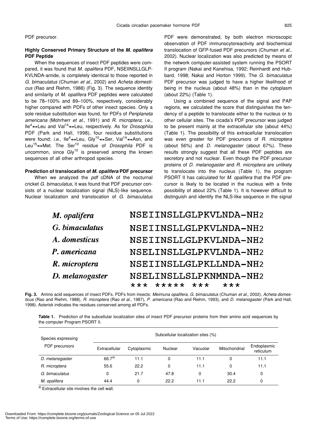PDF precursor.

# **Highly Conserved Primary Structure of the** *M. opalifera* **PDF Peptide**

When the sequences of insect PDF peptides were compared, it was found that *M. opalifera* PDF, NSEIINSLLGLP-KVLNDA-amide, is completely identical to those reported in *G. bimaculatus* (Chuman *et al*., 2002) and *Acheta domesticus* (Rao and Riehm, 1988) (Fig. 3). The sequence identity and similarity of *M. opalifera* PDF peptides were calculated to be 78–100% and 89–100%, respectively, considerably higher compared with PDFs of other insect species. Only a sole residue substitution was found, for PDFs of *Periplaneta americana* (Mohrherr *et al*., 1991) and *R. microptera*; i.e., Ile<sup>4</sup> 
<del>→</del> Leu and Val<sup>14</sup> 
→ Leu and Val<sup>14</sup> 
→ Leu, respectively. As for *Drosophila* PDF (Park and Hall, 1998), four residue substitutions were found; *i.e.*, Ile<sup>4</sup> 
ightarrow Gly<sup>10</sup>

and Ser, Val<sup>14</sup>

and Mere found; *i.e.*, Ile<sup>4</sup>

algebra Gly<sup>10</sup>

and Mere found; *i.e.*, Ile<sup>4</sup>

algebra Gly<sup>10</sup>

and Mere found; *i.e.*, Ile<sup>4</sup>

algebra Gly<sup>10</sup>

and Mere Leu<sup>15</sup> ← Met. The Ser<sup>10</sup> residue of *Drosophila* PDF is uncommon, since  $\text{Gly}^{10}$  is preserved among the known sequences of all other arthropod species.

### **Prediction of translocation of** *M. opalifera* **PDF precursor**

When we analyzed the *pdf* cDNA of the nocturnal cricket *G. bimaculatus*, it was found that PDF precursor consists of a nuclear localization signal (NLS)-like sequence. Nuclear localization and translocation of *G. bimaculatus* PDF were demonstrated, by both electron microscopic observation of PDF immunocytoreactivity and biochemical translocation of GFP-fused PDF precursors (Chuman *et al*., 2002). Nuclear localization was also predicted by means of the network computer-assisted system running the PSORT II program (Nakai and Kanehisa, 1992; Reinhardt and Hubbard, 1998; Nakai and Horton 1999). The *G. bimaculatus* PDF precursor was judged to have a higher likelihood of being in the nucleus (about 48%) than in the cytoplasm (about 22%) (Table 1).

Using a combined sequence of the signal and PAP regions, we calculated the score that distinguishes the tendency of a peptide to translocate either to the nucleus or to other cellular sites. The cicada's PDF precursor was judged to be present mainly at the extracellular site (about 44%) (Table 1). The possibility of this extracellular translocation was even greater for PDF precursors of *R. microptera* (about 56%) and *D. melanogaster* (about 67%). These results strongly suggest that all these PDF peptides are secretory and not nuclear. Even though the PDF precursor proteins of *D. melanogaster* and *R. microptera* are unlikely to translocate into the nucleus (Table 1), the program PSORT II has calculated for *M. opalifera* that the PDF precursor is likely to be located in the nucleus with a finite possibility of about 22% (Table 1). It is however difficult to distinguish and identify the NLS-like sequence in the signal

| M. opalifera    | NSEIINSLLGLPKVLNDA-NH2    |
|-----------------|---------------------------|
| G. bimaculatus  | NSEIINSLLGLPKVLNDA-NH2    |
| A. domesticus   | NSEIINSLLGLPKVLNDA-NH2    |
| P. americana    | NSELINSLLGLPKVLNDA-NH2    |
| R. microptera   | NSEIINSLLGLPKLLNDA-NH2    |
| D. melanogaster | NSELINSLLSLPKNMNDA-NH2    |
|                 | ***** ***<br>***<br>* * * |

**Fig. 3.** Amino acid sequences of insect PDFs. PDFs from insects: *Meimuna opalifera*, *G. bimaculatus* (Chuman *et al*., 2002), *Acheta domesticus* (Rao and Riehm, 1988), *R. microptera* (Rao *et al*., 1987), *P. americana* (Rao and Riehm, 1993), and *D. melanogaster* (Park and Hall, 1998). Asterisk indicates the residues conserved among all PDFs.

**Table 1.** Prediction of the subcellular localization sites of insect PDF precursor proteins from their amino acid sequences by the computer Program PSORT II.

| Species expressing<br>PDF precursors | Subcellular localization sites (%) |             |         |          |               |                          |  |
|--------------------------------------|------------------------------------|-------------|---------|----------|---------------|--------------------------|--|
|                                      | Extracellular                      | Cytoplasmic | Nuclear | Vacuolar | Mitochondrial | Endoplasmic<br>reticulum |  |
| D. melanogaster                      | 66.7a                              | 11.1        | 0       | 11.1     |               | 11.1                     |  |
| R. microptera                        | 55.6                               | 22.2        | 0       | 11.1     | 0             | 11.1                     |  |
| G. bimaculatus                       | 0                                  | 21.7        | 47.8    | 0        | 30.4          | 0                        |  |
| M. opalifera                         | 44.4                               | 0           | 22.2    | 11.1     | 22.2          | 0                        |  |

 $\overline{a}$ ) Extracellular site involves the cell wall.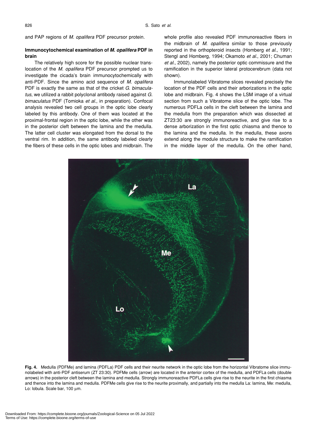and PAP regions of *M. opalifera* PDF precursor protein.

# **Immunocytochemical examination of** *M. opalifera* **PDF in brain**

The relatively high score for the possible nuclear translocation of the *M. opalifera* PDF precursor prompted us to investigate the cicada's brain immunocytochemically with anti-PDF. Since the amino acid sequence of *M. opalifera* PDF is exactly the same as that of the cricket *G. bimaculatus*, we utilized a rabbit polyclonal antibody raised against *G. bimaculatus* PDF (Tomioka *et al*., in preparation). Confocal analysis revealed two cell groups in the optic lobe clearly labeled by this antibody. One of them was located at the proximal-frontal region in the optic lobe, while the other was in the posterior cleft between the lamina and the medulla. The latter cell cluster was elongated from the dorsal to the ventral rim. In addition, the same antibody labeled clearly the fibers of these cells in the optic lobes and midbrain. The whole profile also revealed PDF immunoreactive fibers in the midbrain of *M. opalifera* similar to those previously reported in the orthopteroid insects (Homberg *et al*., 1991; Stengl and Homberg, 1994; Okamoto *et al*., 2001; Chuman *et al*., 2002), namely the posterior optic commissure and the ramification in the superior lateral protocerebrum (data not shown).

Immunolabeled Vibratome slices revealed precisely the location of the PDF cells and their arborizations in the optic lobe and midbrain. Fig. 4 shows the LSM image of a virtual section from such a Vibratome slice of the optic lobe. The numerous PDFLa cells in the cleft between the lamina and the medulla from the preparation which was dissected at ZT23:30 are strongly immunoreactive, and give rise to a dense arborization in the first optic chiasma and thence to the lamina and the medulla. In the medulla, these axons extend along the module structure to make the ramification in the middle layer of the medulla. On the other hand,



**Fig. 4.** Medulla (PDFMe) and lamina (PDFLa) PDF cells and their neurite network in the optic lobe from the horizontal Vibratome slice immunolabeled with anti-PDF antiserum (ZT 23:30). PDFMe cells (arrow) are located in the anterior cortex of the medulla, and PDFLa cells (double arrows) in the posterior cleft between the lamina and medulla. Strongly immunoreactive PDFLa cells give rise to the neurite in the first chiasma and thence into the lamina and medulla. PDFMe cells give rise to the neurite proximally, and partially into the medulla La: lamina, Me: medulla, Lo: lobula. Scale bar, 100 µm.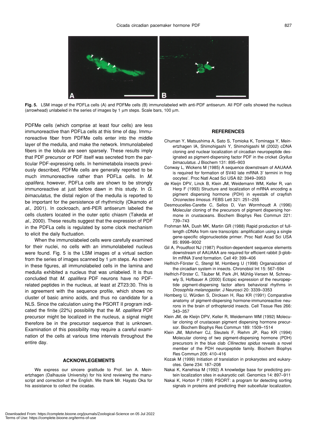

**Fig. 5.** LSM image of the PDFLa cells (A) and PDFMe cells (B) immunolabeled with anti-PDF antiserum. All PDF cells showed the nucleus (arrowhead) unlabeled in the series of images by 1 µm steps. Scale bars, 100 µm.

PDFMe cells (which comprise at least four cells) are less immunoreactive than PDFLa cells at this time of day. Immunoreactive fiber from PDFMe cells enter into the middle layer of the medulla, and make the network. Immunolabeled fibers in the lobula are seen sparsely. These results imply that PDF precursor or PDF itself was secreted from the particular PDF-expressing cells. In hemimetabola insects previously described, PDFMe cells are generally reported to be much immunoreactive rather than PDFLa cells. In *M. opalifera*, however, PDFLa cells are shown to be strongly immunoreactive at just before dawn in this study. In *G. bimaculatus*, the distal region of the medulla is reported to be important for the persistence of rhythmicity (Okamoto *et al*., 2001). In cockroach, anti-PER antiserum labeled the cells clusters located in the outer optic chiasm (Takeda *et al*., 2000). These results suggest that the expression of PDF in the PDFLa cells is regulated by some clock mechanism to elicit the daily fluctuation.

When the immunolabeled cells were carefully examined for their nuclei, no cells with an immunolabeled nucleus were found. Fig. 5 is the LSM images of a virtual section from the series of images scanned by  $1 \mu m$  steps. As shown in these figures, all immunolabeled cells in the lamina and medulla exhibited a nucleus that was unlabeled. It is thus concluded that *M. opalifera* PDF neurons have no PDFrelated peptides in the nucleus, at least at ZT23:30. This is in agreement with the sequence profile, which shows no cluster of basic amino acids, and thus no candidate for a NLS. Since the calculation using the PSORT II program indicated the finite (22%) possibility that the *M. opalifera* PDF precursor might be localized in the nucleus, a signal might therefore be in the precursor sequence that is unknown. Examination of this possibility may require a careful examination of the cells at various time intervals throughout the entire day.

# **ACKNOWLEGEMENTS**

We express our sincere gratitude to Prof. Ian A. Meinertzhagen (Dalhausie University) for his kind reviewing the manuscript and correction of the English. We thank Mr. Hayato Oka for his assistance to collect the cicadas.

### **REFERENCES**

- Chuman Y, Matsushima A, Sato S, Tomioka K, Tominaga Y, Meinertzhagen IA, Shimohigashi Y, Shimohigashi M (2002) cDNA cloning and nuclear localization of circadian neuropeptide designated as pigment-dispersing factor PDF in the cricket *Gryllus bimaculatus*. J Biochem 131: 895–903
- Conway L, Wickens M (1985) A sequence downstream of AAUAAA is required for formation of SV40 late mRNA 3' termini in frog oocytes'. Proc Natl Acad Sci USA 82: 3949–3953
- de Kleijn DPV, Linck B, Klein JM, Weidemann WM, Keller R, van Herp F (1993) Structure and localization of mRNA encoding a pigment dispersing hormone (PDH) in eyestalk of crayfish *Orconectes limosus*. FEBS Lett 321: 251–255
- Desmoucelles-Carette C, Sellos D, Van Wormhoudt A (1996) Molecular cloning of the precursors of pigment dispersing hormone in crustaceans. Biochem Biophys Res Commun 221: 739–743
- Frohman MA, Dush MK, Martin GR (1988) Rapid production of fulllength cDNAs from rare transcripts: amplification using a single gene-specific oligonucleotide primer. Proc Natl Acad Sci USA 85: 8998–9002
- Gil A, Proudfoot NJ (1987) Position-dependent sequence elements downstream of AAUAAA are required for efficient rabbit β-globlin mRNA 3'end formation. Cell 49: 399–406
- Helfrich-Förster C, Stengl M, Homberg U (1998) Organaization of the circadian system in insects. Chronobiol Int 15: 567–594
- Helfrich-Förster C, Täuber M, Park JH, Mühlig-Versen M, Schneuwly S, Hofbauer A (2000) Ectopic expression of the neuropeptide pigment-dispersing factor alters behavioral rhythms in *Drosophila melanogaster*. J Neurosci 20: 3339–3353
- Homberg U, Würden S, Dircksen H, Rao KR (1991) Comparative anatomy of pigment-dispersing hormone-immunoreactive neurons in the brain of orthopteroid insects. Cell Tissue Res 266: 343–357
- Klein JM, de Kleijn DPV, Keller R, Weidemann WM (1992) Molecular cloning of crustacean pigment dispersing hormone precursor. Biochem Biophys Res Commun 189: 1509–1514
- Klein JM, Mohrherr CJ, Sleutels F, Riehm JP, Rao KR (1994) Molecular cloning of two pigment-dispersing hormone (PDH) precursors in the blue clab *Cllinectes spidus* reveals a novel member of the PDH neuropeptide family. Biochem Biophys Res Commun 205: 410–416
- Kozak M (1999) Initiation of translation in prokaryotes and eukaryotes. Gene 234: 187–208
- Nakai K, Kanehisa M (1992) A knowledge base for predicting protein localization sites in eukaryotic cell. Genomics 14: 897–911
- Nakai K, Horton P (1999) PSORT: a program for detecting sorting signals in proteins and predicting their subcellular localization.